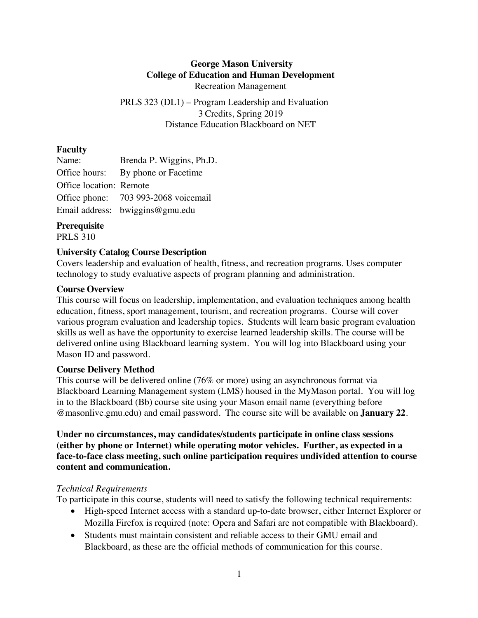## **George Mason University College of Education and Human Development** Recreation Management

PRLS 323 (DL1) – Program Leadership and Evaluation 3 Credits, Spring 2019 Distance Education Blackboard on NET

## **Faculty**

| Name:                   | Brenda P. Wiggins, Ph.D.             |
|-------------------------|--------------------------------------|
|                         | Office hours: By phone or Facetime   |
| Office location: Remote |                                      |
|                         | Office phone: 703 993-2068 voicemail |
|                         | Email address: bwiggins@gmu.edu      |

# **Prerequisite**

PRLS 310

# **University Catalog Course Description**

Covers leadership and evaluation of health, fitness, and recreation programs. Uses computer technology to study evaluative aspects of program planning and administration.

# **Course Overview**

This course will focus on leadership, implementation, and evaluation techniques among health education, fitness, sport management, tourism, and recreation programs. Course will cover various program evaluation and leadership topics. Students will learn basic program evaluation skills as well as have the opportunity to exercise learned leadership skills. The course will be delivered online using Blackboard learning system. You will log into Blackboard using your Mason ID and password.

## **Course Delivery Method**

This course will be delivered online (76% or more) using an asynchronous format via Blackboard Learning Management system (LMS) housed in the MyMason portal. You will log in to the Blackboard (Bb) course site using your Mason email name (everything before @masonlive.gmu.edu) and email password. The course site will be available on **January 22**.

**Under no circumstances, may candidates/students participate in online class sessions (either by phone or Internet) while operating motor vehicles. Further, as expected in a face-to-face class meeting, such online participation requires undivided attention to course content and communication.**

# *Technical Requirements*

To participate in this course, students will need to satisfy the following technical requirements:

- High-speed Internet access with a standard up-to-date browser, either Internet Explorer or Mozilla Firefox is required (note: Opera and Safari are not compatible with Blackboard).
- Students must maintain consistent and reliable access to their GMU email and Blackboard, as these are the official methods of communication for this course.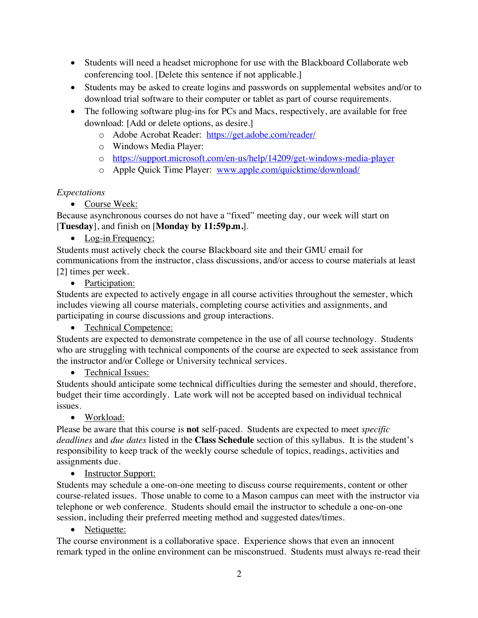- Students will need a headset microphone for use with the Blackboard Collaborate web conferencing tool. [Delete this sentence if not applicable.]
- Students may be asked to create logins and passwords on supplemental websites and/or to download trial software to their computer or tablet as part of course requirements.
- The following software plug-ins for PCs and Macs, respectively, are available for free download: [Add or delete options, as desire.]
	- o Adobe Acrobat Reader: https://get.adobe.com/reader/
	- o Windows Media Player:
	- o https://support.microsoft.com/en-us/help/14209/get-windows-media-player
	- o Apple Quick Time Player: www.apple.com/quicktime/download/

# *Expectations*

• Course Week:

Because asynchronous courses do not have a "fixed" meeting day, our week will start on [**Tuesday**], and finish on [**Monday by 11:59p.m.**].

• Log-in Frequency:

Students must actively check the course Blackboard site and their GMU email for communications from the instructor, class discussions, and/or access to course materials at least [2] times per week.

• Participation:

Students are expected to actively engage in all course activities throughout the semester, which includes viewing all course materials, completing course activities and assignments, and participating in course discussions and group interactions.

• Technical Competence:

Students are expected to demonstrate competence in the use of all course technology. Students who are struggling with technical components of the course are expected to seek assistance from the instructor and/or College or University technical services.

• Technical Issues:

Students should anticipate some technical difficulties during the semester and should, therefore, budget their time accordingly. Late work will not be accepted based on individual technical issues.

• Workload:

Please be aware that this course is **not** self-paced. Students are expected to meet *specific deadlines* and *due dates* listed in the **Class Schedule** section of this syllabus. It is the student's responsibility to keep track of the weekly course schedule of topics, readings, activities and assignments due.

• Instructor Support:

Students may schedule a one-on-one meeting to discuss course requirements, content or other course-related issues. Those unable to come to a Mason campus can meet with the instructor via telephone or web conference. Students should email the instructor to schedule a one-on-one session, including their preferred meeting method and suggested dates/times.

• Netiquette:

The course environment is a collaborative space. Experience shows that even an innocent remark typed in the online environment can be misconstrued. Students must always re-read their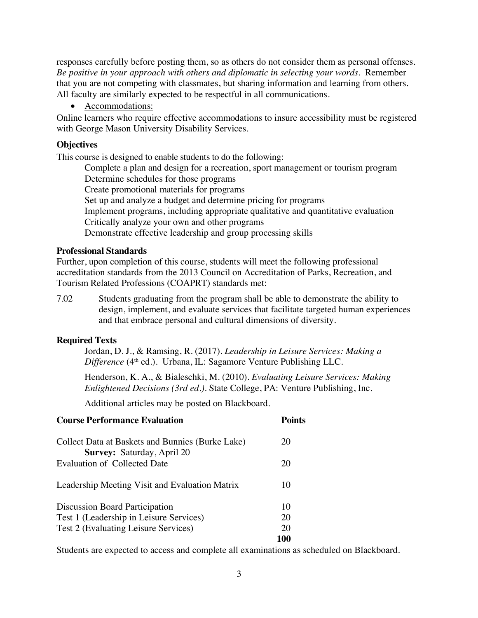responses carefully before posting them, so as others do not consider them as personal offenses. *Be positive in your approach with others and diplomatic in selecting your words*. Remember that you are not competing with classmates, but sharing information and learning from others. All faculty are similarly expected to be respectful in all communications.

• Accommodations:

Online learners who require effective accommodations to insure accessibility must be registered with George Mason University Disability Services.

#### **Objectives**

This course is designed to enable students to do the following:

Complete a plan and design for a recreation, sport management or tourism program Determine schedules for those programs Create promotional materials for programs Set up and analyze a budget and determine pricing for programs Implement programs, including appropriate qualitative and quantitative evaluation Critically analyze your own and other programs Demonstrate effective leadership and group processing skills

#### **Professional Standards**

Further, upon completion of this course, students will meet the following professional accreditation standards from the 2013 Council on Accreditation of Parks, Recreation, and Tourism Related Professions (COAPRT) standards met:

7.02 Students graduating from the program shall be able to demonstrate the ability to design, implement, and evaluate services that facilitate targeted human experiences and that embrace personal and cultural dimensions of diversity.

## **Required Texts**

Jordan, D. J., & Ramsing, R. (2017). *Leadership in Leisure Services: Making a Difference* (4<sup>th</sup> ed.). Urbana, IL: Sagamore Venture Publishing LLC.

Henderson, K. A., & Bialeschki, M. (2010). *Evaluating Leisure Services: Making Enlightened Decisions (3rd ed.).* State College, PA: Venture Publishing, Inc.

Additional articles may be posted on Blackboard.

| <b>Course Performance Evaluation</b>                                                  | Points |
|---------------------------------------------------------------------------------------|--------|
| Collect Data at Baskets and Bunnies (Burke Lake)<br><b>Survey: Saturday, April 20</b> | 20     |
| Evaluation of Collected Date                                                          | 20     |
| Leadership Meeting Visit and Evaluation Matrix                                        | 10     |
| <b>Discussion Board Participation</b>                                                 | 10     |
| Test 1 (Leadership in Leisure Services)                                               | 20     |
| Test 2 (Evaluating Leisure Services)                                                  | 20     |
|                                                                                       | 100    |

Students are expected to access and complete all examinations as scheduled on Blackboard.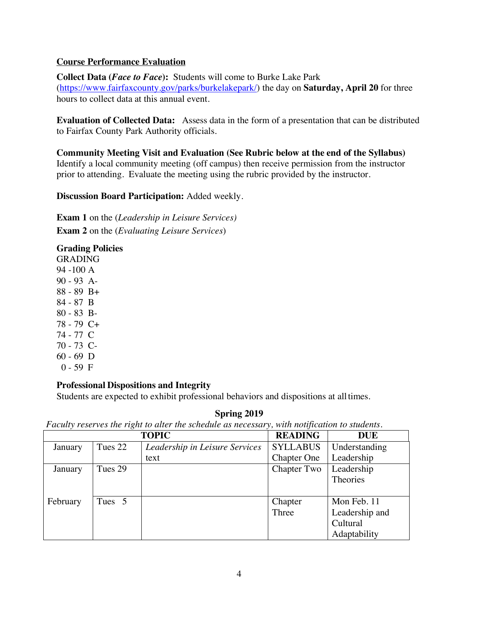# **Course Performance Evaluation**

**Collect Data (***Face to Face***):** Students will come to Burke Lake Park (https://www.fairfaxcounty.gov/parks/burkelakepark/) the day on **Saturday, April 20** for three hours to collect data at this annual event.

**Evaluation of Collected Data:** Assess data in the form of a presentation that can be distributed to Fairfax County Park Authority officials.

**Community Meeting Visit and Evaluation (See Rubric below at the end of the Syllabus)** Identify a local community meeting (off campus) then receive permission from the instructor prior to attending. Evaluate the meeting using the rubric provided by the instructor.

**Discussion Board Participation:** Added weekly.

**Exam 1** on the (*Leadership in Leisure Services)* **Exam 2** on the (*Evaluating Leisure Services*)

**Grading Policies** GRADING 94 -100 A 90 - 93 A-88 - 89 B+ 84 - 87 B 80 - 83 B-78 - 79 C+ 74 - 77 C 70 - 73 C-60 - 69 D  $0 - 59$  F

## **Professional Dispositions and Integrity**

Students are expected to exhibit professional behaviors and dispositions at alltimes.

## **Spring 2019**

*Faculty reserves the right to alter the schedule as necessary, with notification to students.*

|          |         | <b>TOPIC</b>                   | <b>READING</b>     | <b>DUE</b>     |
|----------|---------|--------------------------------|--------------------|----------------|
| January  | Tues 22 | Leadership in Leisure Services | <b>SYLLABUS</b>    | Understanding  |
|          |         | text                           | <b>Chapter One</b> | Leadership     |
| January  | Tues 29 |                                | Chapter Two        | Leadership     |
|          |         |                                |                    | Theories       |
|          |         |                                |                    |                |
| February | Tues 5  |                                | Chapter            | Mon Feb. 11    |
|          |         |                                | Three              | Leadership and |
|          |         |                                |                    | Cultural       |
|          |         |                                |                    | Adaptability   |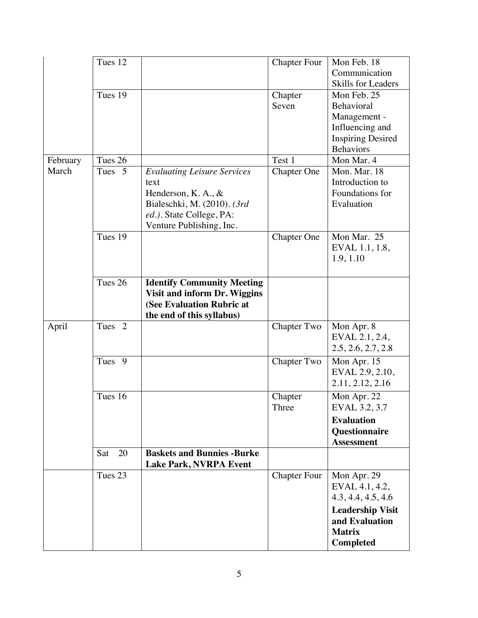|          | Tues 12           |                                    | <b>Chapter Four</b> | Mon Feb. 18              |
|----------|-------------------|------------------------------------|---------------------|--------------------------|
|          |                   |                                    |                     | Communication            |
|          |                   |                                    |                     | Skills for Leaders       |
|          | Tues 19           |                                    | Chapter             | Mon Feb. 25              |
|          |                   |                                    | Seven               | Behavioral               |
|          |                   |                                    |                     | Management -             |
|          |                   |                                    |                     | Influencing and          |
|          |                   |                                    |                     | <b>Inspiring Desired</b> |
|          |                   |                                    |                     | <b>Behaviors</b>         |
| February | Tues 26           |                                    | Test 1              | Mon Mar. 4               |
| March    | Tues <sub>5</sub> | <b>Evaluating Leisure Services</b> | <b>Chapter One</b>  | Mon. Mar. 18             |
|          |                   | text                               |                     | Introduction to          |
|          |                   | Henderson, K. A., $\&$             |                     | Foundations for          |
|          |                   | Bialeschki, M. (2010). (3rd        |                     | Evaluation               |
|          |                   | ed.). State College, PA:           |                     |                          |
|          |                   | Venture Publishing, Inc.           |                     |                          |
|          | Tues 19           |                                    | <b>Chapter One</b>  | Mon Mar. 25              |
|          |                   |                                    |                     | EVAL 1.1, 1.8,           |
|          |                   |                                    |                     | 1.9, 1.10                |
|          |                   |                                    |                     |                          |
|          | Tues 26           | <b>Identify Community Meeting</b>  |                     |                          |
|          |                   | Visit and inform Dr. Wiggins       |                     |                          |
|          |                   | (See Evaluation Rubric at          |                     |                          |
|          |                   | the end of this syllabus)          |                     |                          |
| April    | Tues <sub>2</sub> |                                    | <b>Chapter Two</b>  | Mon Apr. 8               |
|          |                   |                                    |                     | EVAL 2.1, 2.4,           |
|          |                   |                                    |                     | 2.5, 2.6, 2.7, 2.8       |
|          | Tues <sub>9</sub> |                                    | <b>Chapter Two</b>  | Mon Apr. 15              |
|          |                   |                                    |                     | EVAL 2.9, 2.10,          |
|          |                   |                                    |                     | 2.11, 2.12, 2.16         |
|          | Tues 16           |                                    | Chapter             | Mon Apr. 22              |
|          |                   |                                    | Three               | EVAL 3.2, 3.7            |
|          |                   |                                    |                     | <b>Evaluation</b>        |
|          |                   |                                    |                     | Questionnaire            |
|          |                   |                                    |                     | <b>Assessment</b>        |
|          | 20<br>Sat         | <b>Baskets and Bunnies -Burke</b>  |                     |                          |
|          |                   | <b>Lake Park, NVRPA Event</b>      |                     |                          |
|          | Tues 23           |                                    | <b>Chapter Four</b> | Mon Apr. 29              |
|          |                   |                                    |                     | EVAL 4.1, 4.2,           |
|          |                   |                                    |                     | 4.3, 4.4, 4.5, 4.6       |
|          |                   |                                    |                     | <b>Leadership Visit</b>  |
|          |                   |                                    |                     | and Evaluation           |
|          |                   |                                    |                     | <b>Matrix</b>            |
|          |                   |                                    |                     | <b>Completed</b>         |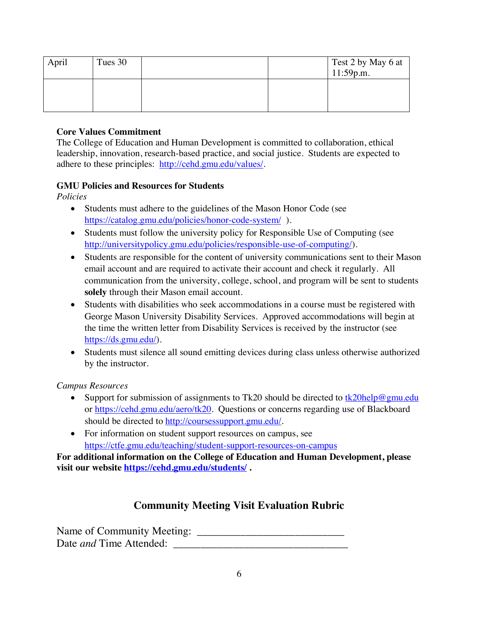| April | Tues 30 |  | Test 2 by May 6 at<br>11:59p.m. |
|-------|---------|--|---------------------------------|
|       |         |  |                                 |

# **Core Values Commitment**

The College of Education and Human Development is committed to collaboration, ethical leadership, innovation, research-based practice, and social justice. Students are expected to adhere to these principles: http://cehd.gmu.edu/values/.

# **GMU Policies and Resources for Students**

*Policies*

- Students must adhere to the guidelines of the Mason Honor Code (see https://catalog.gmu.edu/policies/honor-code-system/ ).
- Students must follow the university policy for Responsible Use of Computing (see http://universitypolicy.gmu.edu/policies/responsible-use-of-computing/).
- Students are responsible for the content of university communications sent to their Mason email account and are required to activate their account and check it regularly. All communication from the university, college, school, and program will be sent to students **solely** through their Mason email account.
- Students with disabilities who seek accommodations in a course must be registered with George Mason University Disability Services. Approved accommodations will begin at the time the written letter from Disability Services is received by the instructor (see https://ds.gmu.edu/).
- Students must silence all sound emitting devices during class unless otherwise authorized by the instructor.

*Campus Resources*

- Support for submission of assignments to Tk20 should be directed to  $\frac{tk20\text{help@gmu.edu}}{tk20\text{help@gmu.edu}}$ or https://cehd.gmu.edu/aero/tk20. Questions or concerns regarding use of Blackboard should be directed to http://coursessupport.gmu.edu/.
- For information on student support resources on campus, see https://ctfe.gmu.edu/teaching/student-support-resources-on-campus

**For additional information on the College of Education and Human Development, please visit our website https://cehd.gmu.edu/students/ .**

# **Community Meeting Visit Evaluation Rubric**

Name of Community Meeting: \_\_\_\_\_\_\_\_\_\_\_\_\_\_\_\_\_\_\_\_\_\_\_\_\_\_\_ Date *and* Time Attended: \_\_\_\_\_\_\_\_\_\_\_\_\_\_\_\_\_\_\_\_\_\_\_\_\_\_\_\_\_\_\_\_